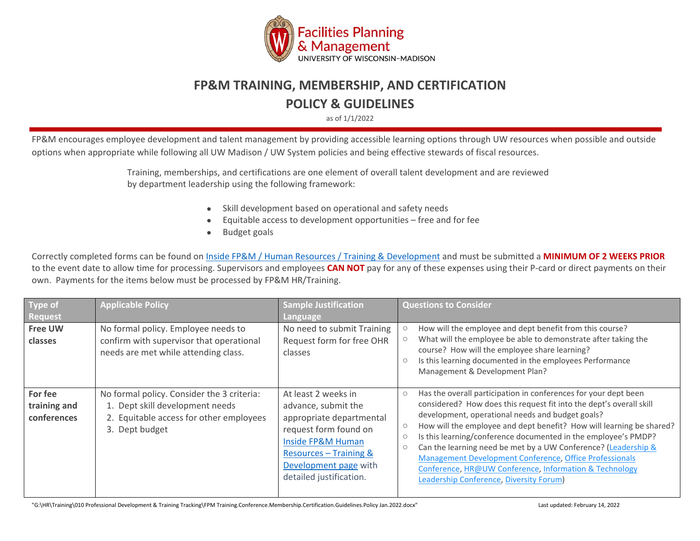

## **FP&M TRAINING, MEMBERSHIP, AND CERTIFICATION**

## **POLICY & GUIDELINES**

as of 1/1/2022

FP&M encourages employee development and talent management by providing accessible learning options through UW resources when possible and outside options when appropriate while following all UW Madison / UW System policies and being effective stewards of fiscal resources.

> Training, memberships, and certifications are one element of overall talent development and are reviewed by department leadership using the following framework:

- Skill development based on operational and safety needs
- Equitable access to development opportunities free and for fee
- Budget goals

Correctly completed forms can be found on [Inside FP&M / Human Resources / Training & Development](https://inside.fpm.wisc.edu/training-development/) and must be submitted a **MINIMUM OF 2 WEEKS PRIOR** to the event date to allow time for processing. Supervisors and employees **CAN NOT** pay for any of these expenses using their P-card or direct payments on their own. Payments for the items below must be processed by FP&M HR/Training.

| Type of                                | <b>Applicable Policy</b>                                                                                                                   | <b>Sample Justification</b>                                                                                                                                                                        | <b>Questions to Consider</b>                                                                                                                                                                                                                                                                                                                                                                                                                                                                                                                                                                                                                              |
|----------------------------------------|--------------------------------------------------------------------------------------------------------------------------------------------|----------------------------------------------------------------------------------------------------------------------------------------------------------------------------------------------------|-----------------------------------------------------------------------------------------------------------------------------------------------------------------------------------------------------------------------------------------------------------------------------------------------------------------------------------------------------------------------------------------------------------------------------------------------------------------------------------------------------------------------------------------------------------------------------------------------------------------------------------------------------------|
| Request                                |                                                                                                                                            | Language                                                                                                                                                                                           |                                                                                                                                                                                                                                                                                                                                                                                                                                                                                                                                                                                                                                                           |
| <b>Free UW</b><br>classes              | No formal policy. Employee needs to<br>confirm with supervisor that operational<br>needs are met while attending class.                    | No need to submit Training<br>Request form for free OHR<br>classes                                                                                                                                 | How will the employee and dept benefit from this course?<br>What will the employee be able to demonstrate after taking the<br>course? How will the employee share learning?<br>Is this learning documented in the employees Performance<br>$\circ$<br>Management & Development Plan?                                                                                                                                                                                                                                                                                                                                                                      |
| For fee<br>training and<br>conferences | No formal policy. Consider the 3 criteria:<br>1. Dept skill development needs<br>2. Equitable access for other employees<br>3. Dept budget | At least 2 weeks in<br>advance, submit the<br>appropriate departmental<br>request form found on<br>Inside FP&M Human<br>Resources - Training &<br>Development page with<br>detailed justification. | Has the overall participation in conferences for your dept been<br>$\circlearrowright$<br>considered? How does this request fit into the dept's overall skill<br>development, operational needs and budget goals?<br>How will the employee and dept benefit? How will learning be shared?<br>$\circlearrowright$<br>Is this learning/conference documented in the employee's PMDP?<br>$\circlearrowright$<br>Can the learning need be met by a UW Conference? (Leadership &<br>$\bigcirc$<br>Management Development Conference, Office Professionals<br>Conference, HR@UW Conference, Information & Technology<br>Leadership Conference, Diversity Forum) |

"G:\HR\Training\010 Professional Development & Training Tracking\FPM Training.Conference.Membership.Certification.Guidelines.Policy Jan.2022.docx" Last updated: February 14, 2022